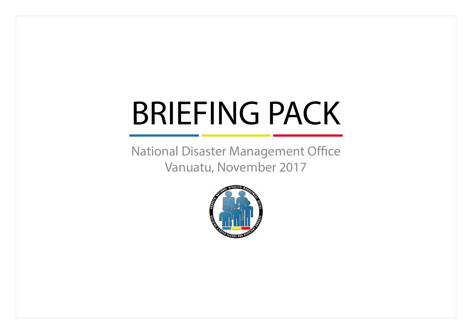# BRIEFING PACK

National Disaster Management Office Vanuatu, November 2017

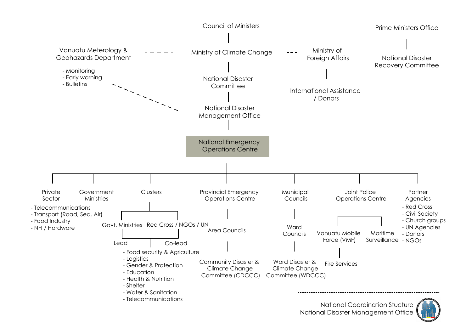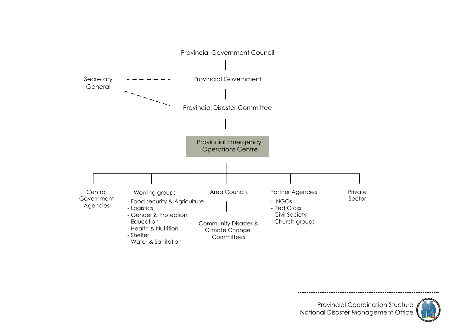

Provincial Coordination Stucture

National Disaster Management Office

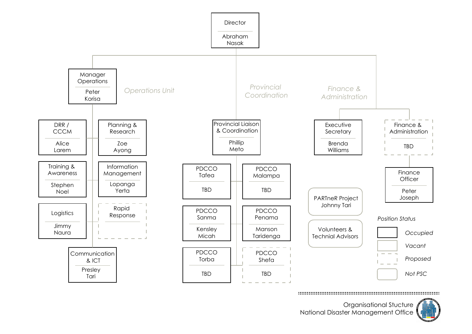

Organisational Stucture National Disaster Management Office

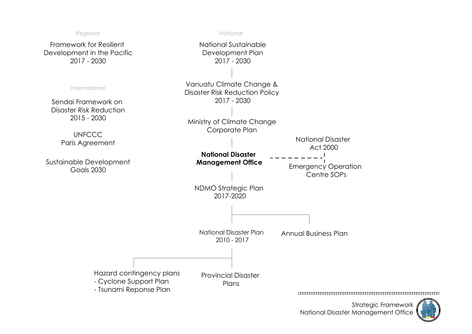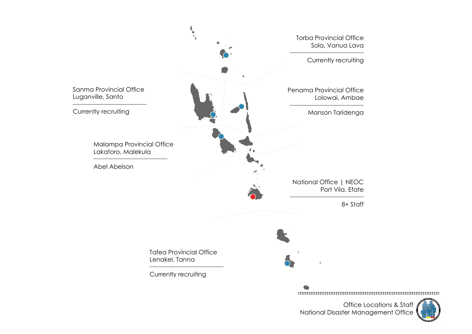

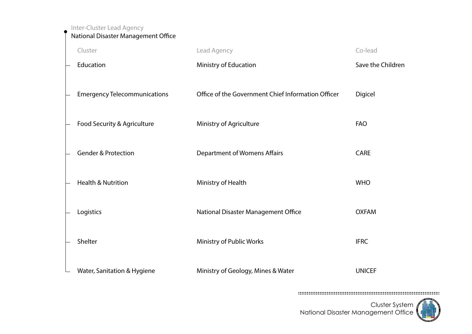Inter-Cluster Lead Agency

National Disaster Management Office

| Cluster                             | Lead Agency                                        | Co-lead           |
|-------------------------------------|----------------------------------------------------|-------------------|
| Education                           | Ministry of Education                              | Save the Children |
| <b>Emergency Telecommunications</b> | Office of the Government Chief Information Officer | Digicel           |
| Food Security & Agriculture         | Ministry of Agriculture                            | <b>FAO</b>        |
|                                     |                                                    |                   |
| <b>Gender &amp; Protection</b>      | <b>Department of Womens Affairs</b>                | <b>CARE</b>       |
|                                     |                                                    |                   |
| <b>Health &amp; Nutrition</b>       | Ministry of Health                                 | <b>WHO</b>        |
|                                     |                                                    |                   |
| Logistics                           | National Disaster Management Office                | <b>OXFAM</b>      |
|                                     |                                                    |                   |
| Shelter                             | Ministry of Public Works                           | <b>IFRC</b>       |
|                                     |                                                    |                   |
| Water, Sanitation & Hygiene         | Ministry of Geology, Mines & Water                 | <b>UNICEF</b>     |

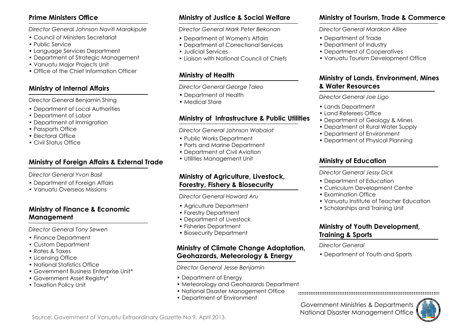#### **Prime Ministers Office**

*Director General Johnson Naviti Marakipule*

- Council of Ministers Secretariat
- Public Service
- Language Services Department
- Department of Strategic Management
- Vanuatu Major Projects Unit
- Office of the Chief Information Officer

#### **Ministry of Internal Affairs**

Director General Benjamin Shing

- Department of Local Authorities
- Department of Labor
- Department of Immigration
- Passports Office
- Electoral Office
- Civil Status Office

### **Ministry of Foreign Affairs & External Trade**

*Director General Yvon Basil*

- Department of Foreign Affairs
- Vanuatu Overseas Missions

#### **Ministry of Finance & Economic Management**

*Director General Tony Sewen*

- Finance Department
- Custom Department
- Rates & Taxes
- Licensing Office
- National Statistics Office
- Government Business Enterprise Unit\*
- Government Asset Registry\*
- Taxation Policy Unit

# **Ministry of Justice & Social Welfare**

*Director General Mark Peter Bekonan*

- Department of Women's Affairs
- Department of Correctional Services
- Judicial Services
- Liaison with National Council of Chiefs

# **Ministry of Health**

*Director General George Taleo*

- Department of Health
- Medical Store

### **Ministry of Infrastructure & Public Utilities**

*Director General Johnson Wabaiat*

- Public Works Department
- Ports and Marine Department
- Department of Civil Aviation
- Utilities Management Unit

#### **Ministry of Agriculture, Livestock, Forestry, Fishery & Biosecurity**

*Director General Howard Aru*

- Agriculture Department
- Forestry Department
- Department of Livestock
- Fisheries Department
- Biosecurity Department

#### **Ministry of Climate Change Adaptation, Geohazards, Meteorology & Energy**

*Director General Jesse Benjamin*

- Department of Energy
- Meteorology and Geohazards Department
- National Disaster Management Office
- Department of Environment

### **Ministry of Tourism, Trade & Commerce**

*Director General Marakon Alilee*

- Department of Trade
- Department of Industry
- Department of Cooperatives
- Vanuatu Tourism Development Office

### **Ministry of Lands, Environment, Mines & Water Resources**

*Director General Joe Ligo*

- Lands Department
- Land Referees Office
- Department of Geology & Mines
- Department of Rural Water Supply
- Department of Environment
- Department of Physical Planning

## **Ministry of Education**

*Director General Jessy Dick*

- Department of Education
- Curriculum Development Centre
- Examination Office
- Vanuatu Institute of Teacher Education
- Scholarships and Training Unit

#### **Ministry of Youth Development, Training & Sports**

#### *Director General*

• Department of Youth and Sports

Government Ministries & Departments National Disaster Management Office

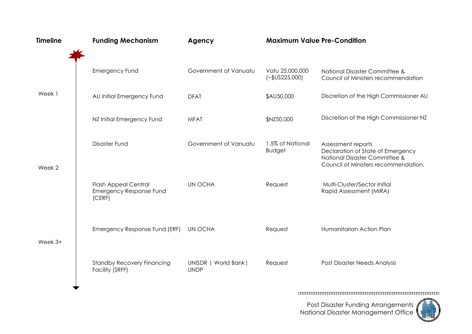| <b>Timeline</b> | <b>Funding Mechanism</b>                                                | Agency                               | <b>Maximum Value Pre-Condition</b> |                                                                                                                                  |
|-----------------|-------------------------------------------------------------------------|--------------------------------------|------------------------------------|----------------------------------------------------------------------------------------------------------------------------------|
|                 | <b>Emergency Fund</b>                                                   | Government of Vanuatu                | Vatu 25,000,000<br>$(-$US225,000)$ | National Disaster Committee &<br>Council of Ministers recommendation                                                             |
| Week 1          | AU Initial Emergency Fund                                               | <b>DFAT</b>                          | \$AU50,000                         | Discretion of the High Commissioner AU                                                                                           |
|                 | NZ Initial Emergency Fund                                               | <b>MFAT</b>                          | \$NZ50,000                         | Discretion of the High Commissioner NZ                                                                                           |
| Week 2          | Disaster Fund                                                           | Government of Vanuatu                | 1.5% of National<br><b>Budget</b>  | Assessment reports<br>Declaration of State of Emergency<br>National Disaster Committee &<br>Council of Ministers recommendation. |
|                 | <b>Flash Appeal Central</b><br><b>Emergency Response Fund</b><br>(CERF) | <b>UN OCHA</b>                       | Request                            | Multi-Cluster/Sector Initial<br>Rapid Assessment (MIRA)                                                                          |
| Week $3+$       | Emergency Response Fund (ERF)                                           | UN OCHA                              | Request                            | Humanitarian Action Plan                                                                                                         |
|                 | <b>Standby Recovery Financing</b><br>Facility (SRFF)                    | UNISDR   World Bank  <br><b>UNDP</b> | Request                            | Post Disaster Needs Analysis                                                                                                     |
|                 |                                                                         |                                      |                                    |                                                                                                                                  |